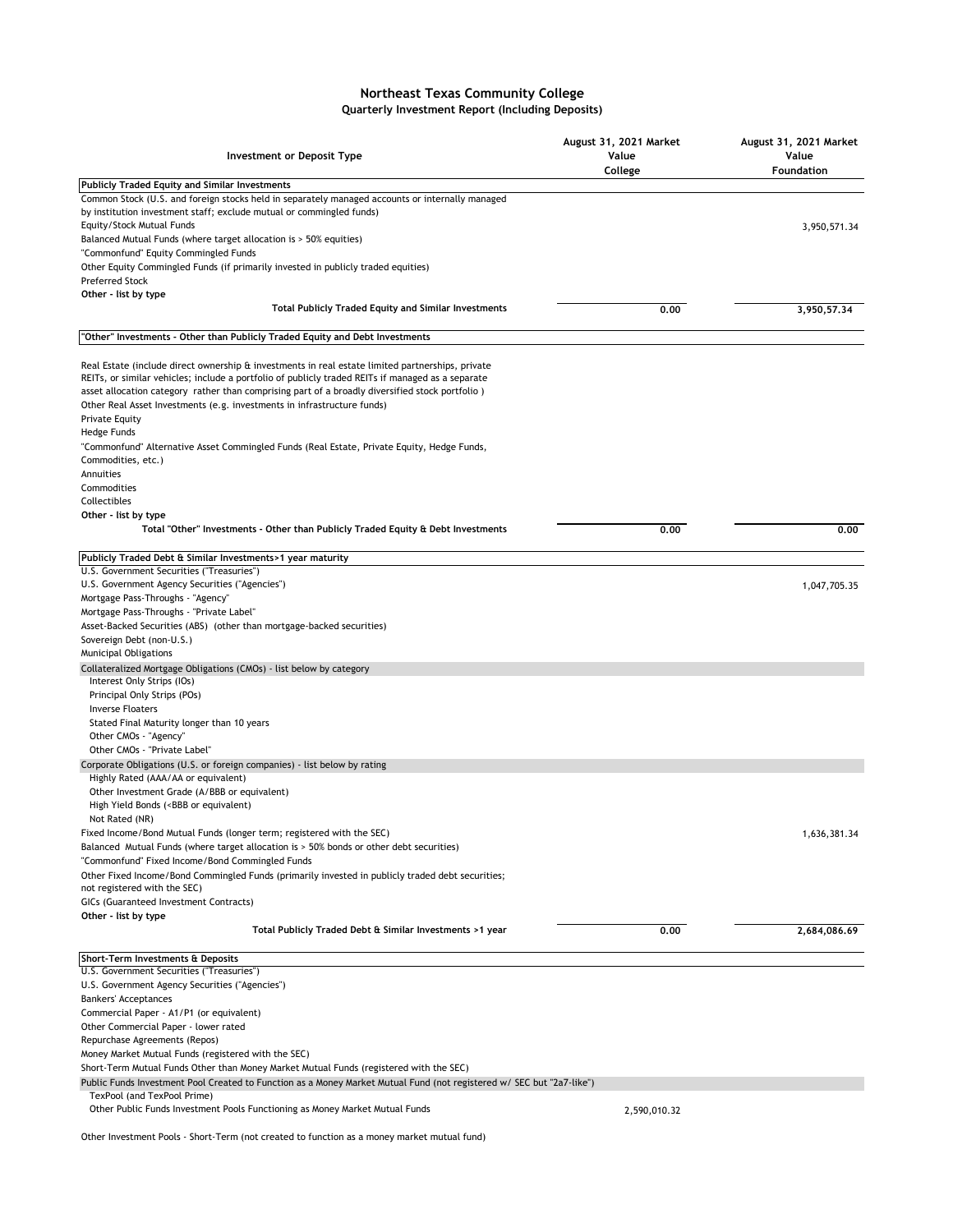## **Northeast Texas Community College Quarterly Investment Report (Including Deposits)**

| Investment or Deposit Type                                                                                                                                                                                                                                                                                                                                                                                   | August 31, 2021 Market<br>Value<br>College | August 31, 2021 Market<br>Value<br>Foundation |
|--------------------------------------------------------------------------------------------------------------------------------------------------------------------------------------------------------------------------------------------------------------------------------------------------------------------------------------------------------------------------------------------------------------|--------------------------------------------|-----------------------------------------------|
| <b>Publicly Traded Equity and Similar Investments</b>                                                                                                                                                                                                                                                                                                                                                        |                                            |                                               |
| Common Stock (U.S. and foreign stocks held in separately managed accounts or internally managed<br>by institution investment staff; exclude mutual or commingled funds)                                                                                                                                                                                                                                      |                                            |                                               |
| Equity/Stock Mutual Funds                                                                                                                                                                                                                                                                                                                                                                                    |                                            | 3,950,571.34                                  |
| Balanced Mutual Funds (where target allocation is > 50% equities)                                                                                                                                                                                                                                                                                                                                            |                                            |                                               |
| "Commonfund" Equity Commingled Funds                                                                                                                                                                                                                                                                                                                                                                         |                                            |                                               |
| Other Equity Commingled Funds (if primarily invested in publicly traded equities)<br><b>Preferred Stock</b>                                                                                                                                                                                                                                                                                                  |                                            |                                               |
| Other - list by type                                                                                                                                                                                                                                                                                                                                                                                         |                                            |                                               |
| <b>Total Publicly Traded Equity and Similar Investments</b>                                                                                                                                                                                                                                                                                                                                                  | 0.00                                       | 3,950,57,34                                   |
| "Other" Investments - Other than Publicly Traded Equity and Debt Investments                                                                                                                                                                                                                                                                                                                                 |                                            |                                               |
| Real Estate (include direct ownership & investments in real estate limited partnerships, private<br>REITs, or similar vehicles; include a portfolio of publicly traded REITs if managed as a separate<br>asset allocation category rather than comprising part of a broadly diversified stock portfolio)<br>Other Real Asset Investments (e.g. investments in infrastructure funds)<br><b>Private Equity</b> |                                            |                                               |
| Hedge Funds                                                                                                                                                                                                                                                                                                                                                                                                  |                                            |                                               |
| "Commonfund" Alternative Asset Commingled Funds (Real Estate, Private Equity, Hedge Funds,<br>Commodities, etc.)                                                                                                                                                                                                                                                                                             |                                            |                                               |
| Annuities                                                                                                                                                                                                                                                                                                                                                                                                    |                                            |                                               |
| Commodities                                                                                                                                                                                                                                                                                                                                                                                                  |                                            |                                               |
| Collectibles                                                                                                                                                                                                                                                                                                                                                                                                 |                                            |                                               |
| Other - list by type<br>Total "Other" Investments - Other than Publicly Traded Equity & Debt Investments                                                                                                                                                                                                                                                                                                     | 0.00                                       | 0.00                                          |
|                                                                                                                                                                                                                                                                                                                                                                                                              |                                            |                                               |
| Publicly Traded Debt & Similar Investments>1 year maturity                                                                                                                                                                                                                                                                                                                                                   |                                            |                                               |
| U.S. Government Securities ("Treasuries")                                                                                                                                                                                                                                                                                                                                                                    |                                            |                                               |
| U.S. Government Agency Securities ("Agencies")                                                                                                                                                                                                                                                                                                                                                               |                                            | 1,047,705.35                                  |
| Mortgage Pass-Throughs - "Agency"<br>Mortgage Pass-Throughs - "Private Label"                                                                                                                                                                                                                                                                                                                                |                                            |                                               |
| Asset-Backed Securities (ABS) (other than mortgage-backed securities)                                                                                                                                                                                                                                                                                                                                        |                                            |                                               |
| Sovereign Debt (non-U.S.)                                                                                                                                                                                                                                                                                                                                                                                    |                                            |                                               |
| Municipal Obligations                                                                                                                                                                                                                                                                                                                                                                                        |                                            |                                               |
| Collateralized Mortgage Obligations (CMOs) - list below by category<br>Interest Only Strips (IOs)                                                                                                                                                                                                                                                                                                            |                                            |                                               |
| Principal Only Strips (POs)                                                                                                                                                                                                                                                                                                                                                                                  |                                            |                                               |
| <b>Inverse Floaters</b>                                                                                                                                                                                                                                                                                                                                                                                      |                                            |                                               |
| Stated Final Maturity longer than 10 years                                                                                                                                                                                                                                                                                                                                                                   |                                            |                                               |
| Other CMOs - "Agency"                                                                                                                                                                                                                                                                                                                                                                                        |                                            |                                               |
| Other CMOs - "Private Label"                                                                                                                                                                                                                                                                                                                                                                                 |                                            |                                               |
| Corporate Obligations (U.S. or foreign companies) - list below by rating<br>Highly Rated (AAA/AA or equivalent)                                                                                                                                                                                                                                                                                              |                                            |                                               |
| Other Investment Grade (A/BBB or equivalent)<br>High Yield Bonds ( <bbb equivalent)<="" or="" td=""><td></td><td></td></bbb>                                                                                                                                                                                                                                                                                 |                                            |                                               |
| Not Rated (NR)                                                                                                                                                                                                                                                                                                                                                                                               |                                            |                                               |
| Fixed Income/Bond Mutual Funds (longer term; registered with the SEC)                                                                                                                                                                                                                                                                                                                                        |                                            | 1,636,381.34                                  |
| Balanced Mutual Funds (where target allocation is > 50% bonds or other debt securities)                                                                                                                                                                                                                                                                                                                      |                                            |                                               |
| "Commonfund" Fixed Income/Bond Commingled Funds                                                                                                                                                                                                                                                                                                                                                              |                                            |                                               |
| Other Fixed Income/Bond Commingled Funds (primarily invested in publicly traded debt securities;                                                                                                                                                                                                                                                                                                             |                                            |                                               |
| not registered with the SEC)<br>GICs (Guaranteed Investment Contracts)                                                                                                                                                                                                                                                                                                                                       |                                            |                                               |
| Other - list by type                                                                                                                                                                                                                                                                                                                                                                                         |                                            |                                               |
| Total Publicly Traded Debt & Similar Investments >1 year                                                                                                                                                                                                                                                                                                                                                     | 0.00                                       | 2,684,086.69                                  |
| Short-Term Investments & Deposits                                                                                                                                                                                                                                                                                                                                                                            |                                            |                                               |
| U.S. Government Securities ("Treasuries")                                                                                                                                                                                                                                                                                                                                                                    |                                            |                                               |
| U.S. Government Agency Securities ("Agencies")                                                                                                                                                                                                                                                                                                                                                               |                                            |                                               |
| <b>Bankers' Acceptances</b>                                                                                                                                                                                                                                                                                                                                                                                  |                                            |                                               |
| Commercial Paper - A1/P1 (or equivalent)                                                                                                                                                                                                                                                                                                                                                                     |                                            |                                               |
| Other Commercial Paper - lower rated<br>Repurchase Agreements (Repos)                                                                                                                                                                                                                                                                                                                                        |                                            |                                               |
| Money Market Mutual Funds (registered with the SEC)                                                                                                                                                                                                                                                                                                                                                          |                                            |                                               |
| Short-Term Mutual Funds Other than Money Market Mutual Funds (registered with the SEC)                                                                                                                                                                                                                                                                                                                       |                                            |                                               |
| Public Funds Investment Pool Created to Function as a Money Market Mutual Fund (not registered w/ SEC but "2a7-like")                                                                                                                                                                                                                                                                                        |                                            |                                               |
| TexPool (and TexPool Prime)                                                                                                                                                                                                                                                                                                                                                                                  |                                            |                                               |
| Other Public Funds Investment Pools Functioning as Money Market Mutual Funds                                                                                                                                                                                                                                                                                                                                 | 2,590,010.32                               |                                               |

Other Investment Pools - Short-Term (not created to function as a money market mutual fund)